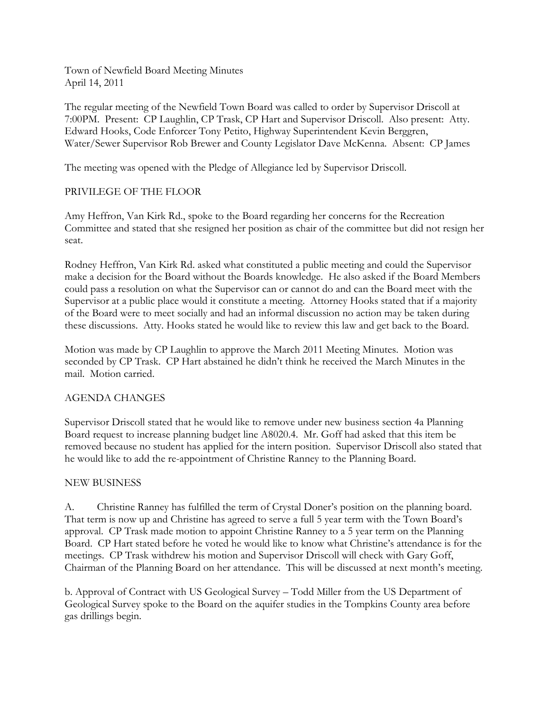Town of Newfield Board Meeting Minutes April 14, 2011

The regular meeting of the Newfield Town Board was called to order by Supervisor Driscoll at 7:00PM. Present: CP Laughlin, CP Trask, CP Hart and Supervisor Driscoll. Also present: Atty. Edward Hooks, Code Enforcer Tony Petito, Highway Superintendent Kevin Berggren, Water/Sewer Supervisor Rob Brewer and County Legislator Dave McKenna. Absent: CP James

The meeting was opened with the Pledge of Allegiance led by Supervisor Driscoll.

## PRIVILEGE OF THE FLOOR

Amy Heffron, Van Kirk Rd., spoke to the Board regarding her concerns for the Recreation Committee and stated that she resigned her position as chair of the committee but did not resign her seat.

Rodney Heffron, Van Kirk Rd. asked what constituted a public meeting and could the Supervisor make a decision for the Board without the Boards knowledge. He also asked if the Board Members could pass a resolution on what the Supervisor can or cannot do and can the Board meet with the Supervisor at a public place would it constitute a meeting. Attorney Hooks stated that if a majority of the Board were to meet socially and had an informal discussion no action may be taken during these discussions. Atty. Hooks stated he would like to review this law and get back to the Board.

Motion was made by CP Laughlin to approve the March 2011 Meeting Minutes. Motion was seconded by CP Trask. CP Hart abstained he didn't think he received the March Minutes in the mail. Motion carried.

## AGENDA CHANGES

Supervisor Driscoll stated that he would like to remove under new business section 4a Planning Board request to increase planning budget line A8020.4. Mr. Goff had asked that this item be removed because no student has applied for the intern position. Supervisor Driscoll also stated that he would like to add the re-appointment of Christine Ranney to the Planning Board.

## NEW BUSINESS

A. Christine Ranney has fulfilled the term of Crystal Doner's position on the planning board. That term is now up and Christine has agreed to serve a full 5 year term with the Town Board's approval. CP Trask made motion to appoint Christine Ranney to a 5 year term on the Planning Board. CP Hart stated before he voted he would like to know what Christine's attendance is for the meetings. CP Trask withdrew his motion and Supervisor Driscoll will check with Gary Goff, Chairman of the Planning Board on her attendance. This will be discussed at next month's meeting.

b. Approval of Contract with US Geological Survey – Todd Miller from the US Department of Geological Survey spoke to the Board on the aquifer studies in the Tompkins County area before gas drillings begin.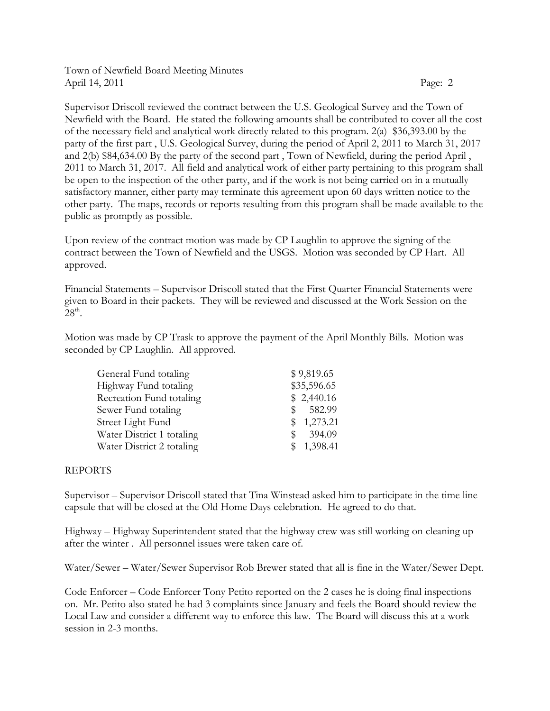Town of Newfield Board Meeting Minutes April 14, 2011 Page: 2

Supervisor Driscoll reviewed the contract between the U.S. Geological Survey and the Town of Newfield with the Board. He stated the following amounts shall be contributed to cover all the cost of the necessary field and analytical work directly related to this program. 2(a) \$36,393.00 by the party of the first part , U.S. Geological Survey, during the period of April 2, 2011 to March 31, 2017 and 2(b) \$84,634.00 By the party of the second part , Town of Newfield, during the period April , 2011 to March 31, 2017. All field and analytical work of either party pertaining to this program shall be open to the inspection of the other party, and if the work is not being carried on in a mutually satisfactory manner, either party may terminate this agreement upon 60 days written notice to the other party. The maps, records or reports resulting from this program shall be made available to the public as promptly as possible.

Upon review of the contract motion was made by CP Laughlin to approve the signing of the contract between the Town of Newfield and the USGS. Motion was seconded by CP Hart. All approved.

Financial Statements – Supervisor Driscoll stated that the First Quarter Financial Statements were given to Board in their packets. They will be reviewed and discussed at the Work Session on the  $28^{\text{th}}$ .

Motion was made by CP Trask to approve the payment of the April Monthly Bills. Motion was seconded by CP Laughlin. All approved.

| General Fund totaling     | \$9,819.65                |
|---------------------------|---------------------------|
| Highway Fund totaling     | \$35,596.65               |
| Recreation Fund totaling  | \$2,440.16                |
| Sewer Fund totaling       | 582.99<br><sup>\$</sup>   |
| Street Light Fund         | 1,273.21<br><sup>SS</sup> |
| Water District 1 totaling | 394.09<br><sup>\$</sup>   |
| Water District 2 totaling | \$1,398.41                |

## REPORTS

Supervisor – Supervisor Driscoll stated that Tina Winstead asked him to participate in the time line capsule that will be closed at the Old Home Days celebration. He agreed to do that.

Highway – Highway Superintendent stated that the highway crew was still working on cleaning up after the winter . All personnel issues were taken care of.

Water/Sewer – Water/Sewer Supervisor Rob Brewer stated that all is fine in the Water/Sewer Dept.

Code Enforcer – Code Enforcer Tony Petito reported on the 2 cases he is doing final inspections on. Mr. Petito also stated he had 3 complaints since January and feels the Board should review the Local Law and consider a different way to enforce this law. The Board will discuss this at a work session in 2-3 months.